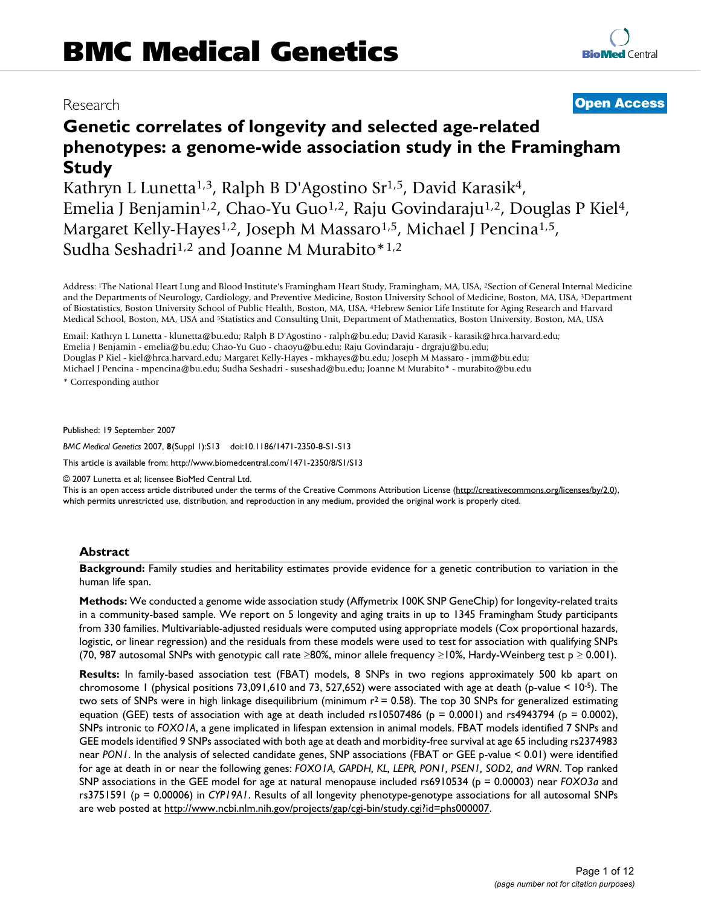# **Genetic correlates of longevity and selected age-related phenotypes: a genome-wide association study in the Framingham Study**

Kathryn L Lunetta<sup>1,3</sup>, Ralph B D'Agostino Sr<sup>1,5</sup>, David Karasik<sup>4</sup>, Emelia J Benjamin<sup>1,2</sup>, Chao-Yu Guo<sup>1,2</sup>, Raju Govindaraju<sup>1,2</sup>, Douglas P Kiel<sup>4</sup>, Margaret Kelly-Hayes<sup>1,2</sup>, Joseph M Massaro<sup>1,5</sup>, Michael J Pencina<sup>1,5</sup>, Sudha Seshadri<sup>1,2</sup> and Joanne M Murabito \*<sup>1,2</sup>

Address: 1The National Heart Lung and Blood Institute's Framingham Heart Study, Framingham, MA, USA, 2Section of General Internal Medicine and the Departments of Neurology, Cardiology, and Preventive Medicine, Boston University School of Medicine, Boston, MA, USA, 3Department of Biostatistics, Boston University School of Public Health, Boston, MA, USA, 4Hebrew Senior Life Institute for Aging Research and Harvard Medical School, Boston, MA, USA and 5Statistics and Consulting Unit, Department of Mathematics, Boston University, Boston, MA, USA

Email: Kathryn L Lunetta - klunetta@bu.edu; Ralph B D'Agostino - ralph@bu.edu; David Karasik - karasik@hrca.harvard.edu; Emelia J Benjamin - emelia@bu.edu; Chao-Yu Guo - chaoyu@bu.edu; Raju Govindaraju - drgraju@bu.edu; Douglas P Kiel - kiel@hrca.harvard.edu; Margaret Kelly-Hayes - mkhayes@bu.edu; Joseph M Massaro - jmm@bu.edu; Michael J Pencina - mpencina@bu.edu; Sudha Seshadri - suseshad@bu.edu; Joanne M Murabito\* - murabito@bu.edu

\* Corresponding author

Published: 19 September 2007

*BMC Medical Genetics* 2007, **8**(Suppl 1):S13 doi:10.1186/1471-2350-8-S1-S13

[This article is available from: http://www.biomedcentral.com/1471-2350/8/S1/S13](http://www.biomedcentral.com/1471-2350/8/S1/S13)

© 2007 Lunetta et al; licensee BioMed Central Ltd.

This is an open access article distributed under the terms of the Creative Commons Attribution License [\(http://creativecommons.org/licenses/by/2.0\)](http://creativecommons.org/licenses/by/2.0), which permits unrestricted use, distribution, and reproduction in any medium, provided the original work is properly cited.

# **Abstract**

**Background:** Family studies and heritability estimates provide evidence for a genetic contribution to variation in the human life span.

**Methods:** We conducted a genome wide association study (Affymetrix 100K SNP GeneChip) for longevity-related traits in a community-based sample. We report on 5 longevity and aging traits in up to 1345 Framingham Study participants from 330 families. Multivariable-adjusted residuals were computed using appropriate models (Cox proportional hazards, logistic, or linear regression) and the residuals from these models were used to test for association with qualifying SNPs (70, 987 autosomal SNPs with genotypic call rate ≥80%, minor allele frequency ≥10%, Hardy-Weinberg test p ≥ 0.001).

**Results:** In family-based association test (FBAT) models, 8 SNPs in two regions approximately 500 kb apart on chromosome 1 (physical positions 73,091,610 and 73, 527,652) were associated with age at death (p-value < 10-5). The two sets of SNPs were in high linkage disequilibrium (minimum  $r^2 = 0.58$ ). The top 30 SNPs for generalized estimating equation (GEE) tests of association with age at death included rs10507486 ( $p = 0.0001$ ) and rs4943794 ( $p = 0.0002$ ), SNPs intronic to *FOXO1A*, a gene implicated in lifespan extension in animal models. FBAT models identified 7 SNPs and GEE models identified 9 SNPs associated with both age at death and morbidity-free survival at age 65 including rs2374983 near *PON1*. In the analysis of selected candidate genes, SNP associations (FBAT or GEE p-value < 0.01) were identified for age at death in or near the following genes: *FOXO1A, GAPDH, KL, LEPR, PON1, PSEN1, SOD2, and WRN*. Top ranked SNP associations in the GEE model for age at natural menopause included rs6910534 (p = 0.00003) near *FOXO3a* and rs3751591 (p = 0.00006) in *CYP19A1*. Results of all longevity phenotype-genotype associations for all autosomal SNPs are web posted at [http://www.ncbi.nlm.nih.gov/projects/gap/cgi-bin/study.cgi?id=phs000007.](http://www.ncbi.nlm.nih.gov/projects/gap/cgi-bin/study.cgi?id=phs000007)

# Research **[Open Access](http://www.biomedcentral.com/info/about/charter/)**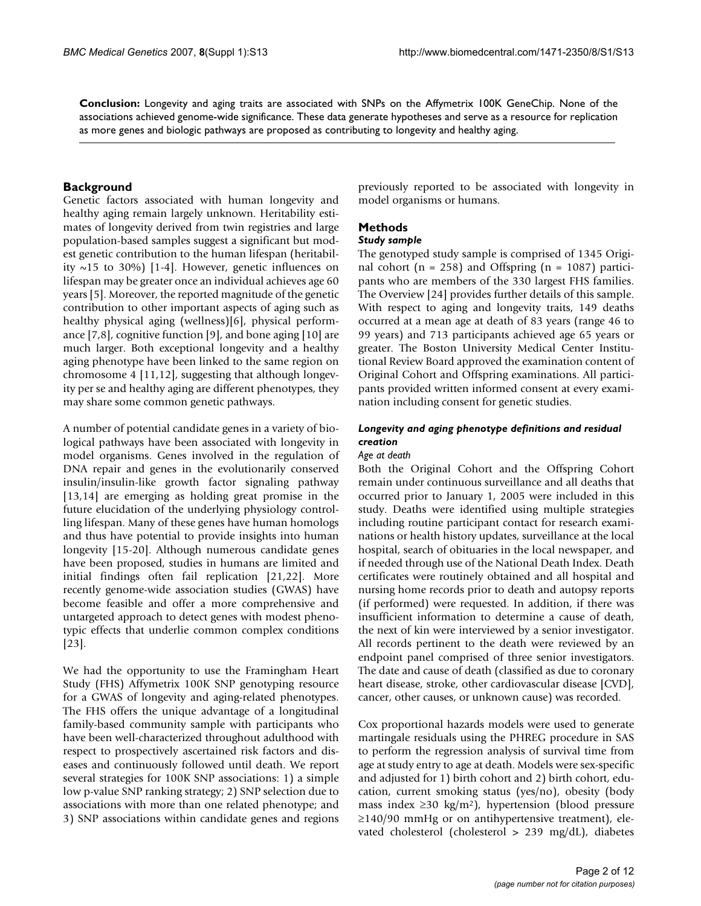**Conclusion:** Longevity and aging traits are associated with SNPs on the Affymetrix 100K GeneChip. None of the associations achieved genome-wide significance. These data generate hypotheses and serve as a resource for replication as more genes and biologic pathways are proposed as contributing to longevity and healthy aging.

# **Background**

Genetic factors associated with human longevity and healthy aging remain largely unknown. Heritability estimates of longevity derived from twin registries and large population-based samples suggest a significant but modest genetic contribution to the human lifespan (heritability  $\sim$ 15 to 30%) [1-4]. However, genetic influences on lifespan may be greater once an individual achieves age 60 years [5]. Moreover, the reported magnitude of the genetic contribution to other important aspects of aging such as healthy physical aging (wellness)[6], physical performance [7,8], cognitive function [9], and bone aging [10] are much larger. Both exceptional longevity and a healthy aging phenotype have been linked to the same region on chromosome 4 [11,12], suggesting that although longevity per se and healthy aging are different phenotypes, they may share some common genetic pathways.

A number of potential candidate genes in a variety of biological pathways have been associated with longevity in model organisms. Genes involved in the regulation of DNA repair and genes in the evolutionarily conserved insulin/insulin-like growth factor signaling pathway [13,14] are emerging as holding great promise in the future elucidation of the underlying physiology controlling lifespan. Many of these genes have human homologs and thus have potential to provide insights into human longevity [15-20]. Although numerous candidate genes have been proposed, studies in humans are limited and initial findings often fail replication [21,22]. More recently genome-wide association studies (GWAS) have become feasible and offer a more comprehensive and untargeted approach to detect genes with modest phenotypic effects that underlie common complex conditions [23].

We had the opportunity to use the Framingham Heart Study (FHS) Affymetrix 100K SNP genotyping resource for a GWAS of longevity and aging-related phenotypes. The FHS offers the unique advantage of a longitudinal family-based community sample with participants who have been well-characterized throughout adulthood with respect to prospectively ascertained risk factors and diseases and continuously followed until death. We report several strategies for 100K SNP associations: 1) a simple low p-value SNP ranking strategy; 2) SNP selection due to associations with more than one related phenotype; and 3) SNP associations within candidate genes and regions

previously reported to be associated with longevity in model organisms or humans.

# **Methods**

# *Study sample*

The genotyped study sample is comprised of 1345 Original cohort ( $n = 258$ ) and Offspring ( $n = 1087$ ) participants who are members of the 330 largest FHS families. The Overview [24] provides further details of this sample. With respect to aging and longevity traits, 149 deaths occurred at a mean age at death of 83 years (range 46 to 99 years) and 713 participants achieved age 65 years or greater. The Boston University Medical Center Institutional Review Board approved the examination content of Original Cohort and Offspring examinations. All participants provided written informed consent at every examination including consent for genetic studies.

# *Longevity and aging phenotype definitions and residual creation*

### *Age at death*

Both the Original Cohort and the Offspring Cohort remain under continuous surveillance and all deaths that occurred prior to January 1, 2005 were included in this study. Deaths were identified using multiple strategies including routine participant contact for research examinations or health history updates, surveillance at the local hospital, search of obituaries in the local newspaper, and if needed through use of the National Death Index. Death certificates were routinely obtained and all hospital and nursing home records prior to death and autopsy reports (if performed) were requested. In addition, if there was insufficient information to determine a cause of death, the next of kin were interviewed by a senior investigator. All records pertinent to the death were reviewed by an endpoint panel comprised of three senior investigators. The date and cause of death (classified as due to coronary heart disease, stroke, other cardiovascular disease [CVD], cancer, other causes, or unknown cause) was recorded.

Cox proportional hazards models were used to generate martingale residuals using the PHREG procedure in SAS to perform the regression analysis of survival time from age at study entry to age at death. Models were sex-specific and adjusted for 1) birth cohort and 2) birth cohort, education, current smoking status (yes/no), obesity (body mass index ≥30 kg/m<sup>2</sup>), hypertension (blood pressure  $\geq$ 140/90 mmHg or on antihypertensive treatment), elevated cholesterol (cholesterol > 239 mg/dL), diabetes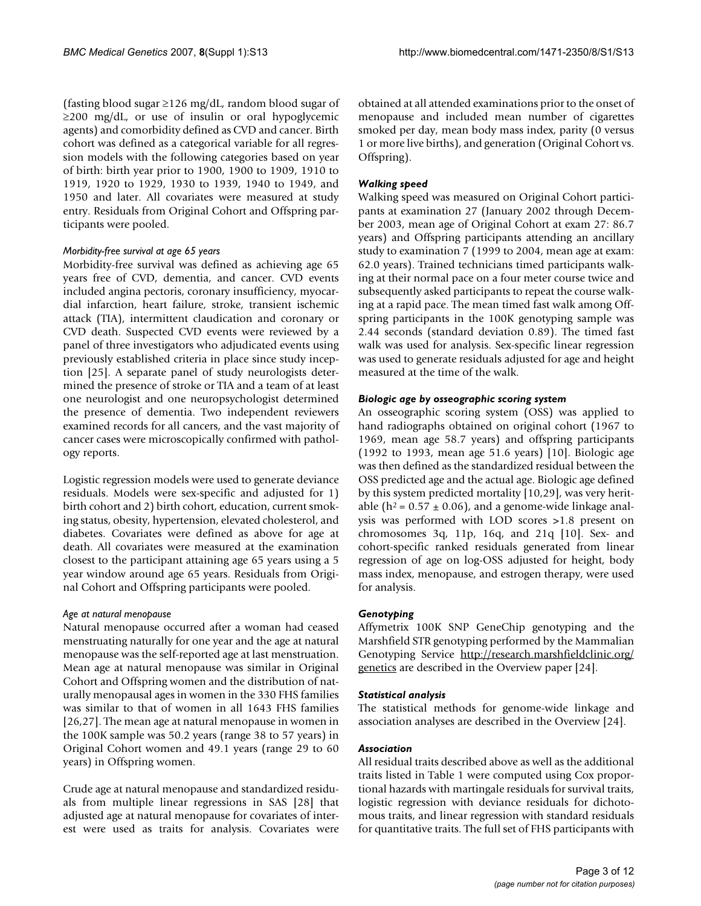(fasting blood sugar ≥126 mg/dL, random blood sugar of  $\geq$ 200 mg/dL, or use of insulin or oral hypoglycemic agents) and comorbidity defined as CVD and cancer. Birth cohort was defined as a categorical variable for all regression models with the following categories based on year of birth: birth year prior to 1900, 1900 to 1909, 1910 to 1919, 1920 to 1929, 1930 to 1939, 1940 to 1949, and 1950 and later. All covariates were measured at study entry. Residuals from Original Cohort and Offspring participants were pooled.

# *Morbidity-free survival at age 65 years*

Morbidity-free survival was defined as achieving age 65 years free of CVD, dementia, and cancer. CVD events included angina pectoris, coronary insufficiency, myocardial infarction, heart failure, stroke, transient ischemic attack (TIA), intermittent claudication and coronary or CVD death. Suspected CVD events were reviewed by a panel of three investigators who adjudicated events using previously established criteria in place since study inception [25]. A separate panel of study neurologists determined the presence of stroke or TIA and a team of at least one neurologist and one neuropsychologist determined the presence of dementia. Two independent reviewers examined records for all cancers, and the vast majority of cancer cases were microscopically confirmed with pathology reports.

Logistic regression models were used to generate deviance residuals. Models were sex-specific and adjusted for 1) birth cohort and 2) birth cohort, education, current smoking status, obesity, hypertension, elevated cholesterol, and diabetes. Covariates were defined as above for age at death. All covariates were measured at the examination closest to the participant attaining age 65 years using a 5 year window around age 65 years. Residuals from Original Cohort and Offspring participants were pooled.

# *Age at natural menopause*

Natural menopause occurred after a woman had ceased menstruating naturally for one year and the age at natural menopause was the self-reported age at last menstruation. Mean age at natural menopause was similar in Original Cohort and Offspring women and the distribution of naturally menopausal ages in women in the 330 FHS families was similar to that of women in all 1643 FHS families [26,27]. The mean age at natural menopause in women in the 100K sample was 50.2 years (range 38 to 57 years) in Original Cohort women and 49.1 years (range 29 to 60 years) in Offspring women.

Crude age at natural menopause and standardized residuals from multiple linear regressions in SAS [28] that adjusted age at natural menopause for covariates of interest were used as traits for analysis. Covariates were obtained at all attended examinations prior to the onset of menopause and included mean number of cigarettes smoked per day, mean body mass index, parity (0 versus 1 or more live births), and generation (Original Cohort vs. Offspring).

# *Walking speed*

Walking speed was measured on Original Cohort participants at examination 27 (January 2002 through December 2003, mean age of Original Cohort at exam 27: 86.7 years) and Offspring participants attending an ancillary study to examination 7 (1999 to 2004, mean age at exam: 62.0 years). Trained technicians timed participants walking at their normal pace on a four meter course twice and subsequently asked participants to repeat the course walking at a rapid pace. The mean timed fast walk among Offspring participants in the 100K genotyping sample was 2.44 seconds (standard deviation 0.89). The timed fast walk was used for analysis. Sex-specific linear regression was used to generate residuals adjusted for age and height measured at the time of the walk.

# *Biologic age by osseographic scoring system*

An osseographic scoring system (OSS) was applied to hand radiographs obtained on original cohort (1967 to 1969, mean age 58.7 years) and offspring participants (1992 to 1993, mean age 51.6 years) [10]. Biologic age was then defined as the standardized residual between the OSS predicted age and the actual age. Biologic age defined by this system predicted mortality [10,29], was very heritable ( $h^2$  = 0.57  $\pm$  0.06), and a genome-wide linkage analysis was performed with LOD scores >1.8 present on chromosomes 3q, 11p, 16q, and 21q [10]. Sex- and cohort-specific ranked residuals generated from linear regression of age on log-OSS adjusted for height, body mass index, menopause, and estrogen therapy, were used for analysis.

# *Genotyping*

Affymetrix 100K SNP GeneChip genotyping and the Marshfield STR genotyping performed by the Mammalian Genotyping Service [http://research.marshfieldclinic.org/](http://research.marshfieldclinic.org/genetics) [genetics](http://research.marshfieldclinic.org/genetics) are described in the Overview paper [24].

# *Statistical analysis*

The statistical methods for genome-wide linkage and association analyses are described in the Overview [24].

# *Association*

All residual traits described above as well as the additional traits listed in Table 1 were computed using Cox proportional hazards with martingale residuals for survival traits, logistic regression with deviance residuals for dichotomous traits, and linear regression with standard residuals for quantitative traits. The full set of FHS participants with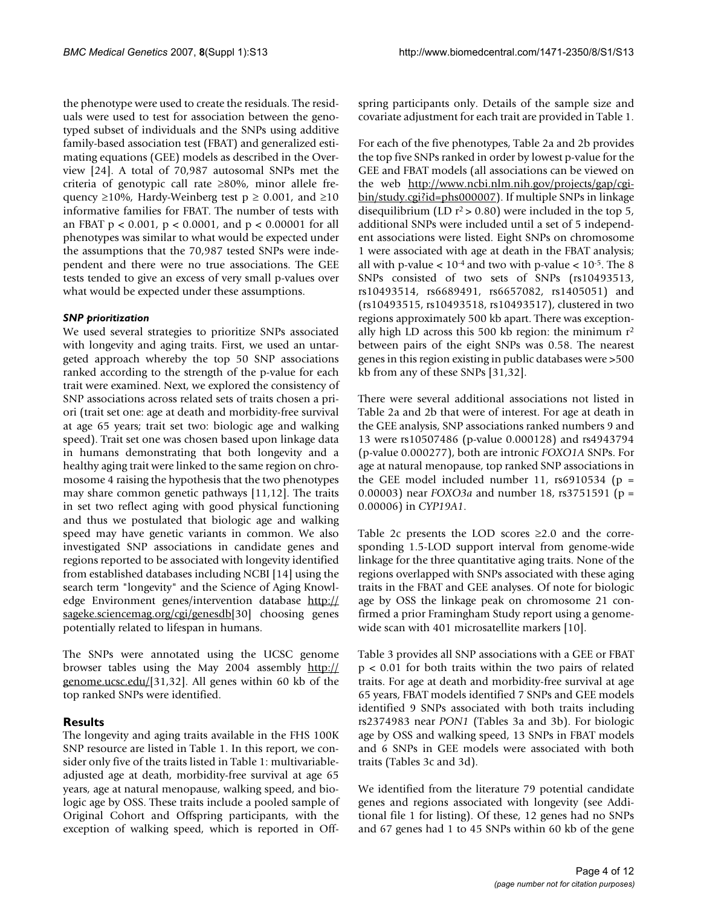the phenotype were used to create the residuals. The residuals were used to test for association between the genotyped subset of individuals and the SNPs using additive family-based association test (FBAT) and generalized estimating equations (GEE) models as described in the Overview [24]. A total of 70,987 autosomal SNPs met the criteria of genotypic call rate ≥80%, minor allele frequency ≥10%, Hardy-Weinberg test  $p \ge 0.001$ , and ≥10 informative families for FBAT. The number of tests with an FBAT p < 0.001, p < 0.0001, and p < 0.00001 for all phenotypes was similar to what would be expected under the assumptions that the 70,987 tested SNPs were independent and there were no true associations. The GEE tests tended to give an excess of very small p-values over what would be expected under these assumptions.

# *SNP prioritization*

We used several strategies to prioritize SNPs associated with longevity and aging traits. First, we used an untargeted approach whereby the top 50 SNP associations ranked according to the strength of the p-value for each trait were examined. Next, we explored the consistency of SNP associations across related sets of traits chosen a priori (trait set one: age at death and morbidity-free survival at age 65 years; trait set two: biologic age and walking speed). Trait set one was chosen based upon linkage data in humans demonstrating that both longevity and a healthy aging trait were linked to the same region on chromosome 4 raising the hypothesis that the two phenotypes may share common genetic pathways [11,12]. The traits in set two reflect aging with good physical functioning and thus we postulated that biologic age and walking speed may have genetic variants in common. We also investigated SNP associations in candidate genes and regions reported to be associated with longevity identified from established databases including NCBI [14] using the search term "longevity" and the Science of Aging Knowledge Environment genes/intervention database [http://](http://sageke.sciencemag.org/cgi/genesdb) [sageke.sciencemag.org/cgi/genesdb](http://sageke.sciencemag.org/cgi/genesdb)[30] choosing genes potentially related to lifespan in humans.

The SNPs were annotated using the UCSC genome browser tables using the May 2004 assembly [http://](http://genome.ucsc.edu/) [genome.ucsc.edu/\[](http://genome.ucsc.edu/)31,32]. All genes within 60 kb of the top ranked SNPs were identified.

# **Results**

The longevity and aging traits available in the FHS 100K SNP resource are listed in Table 1. In this report, we consider only five of the traits listed in Table 1: multivariableadjusted age at death, morbidity-free survival at age 65 years, age at natural menopause, walking speed, and biologic age by OSS. These traits include a pooled sample of Original Cohort and Offspring participants, with the exception of walking speed, which is reported in Offspring participants only. Details of the sample size and covariate adjustment for each trait are provided in Table 1.

For each of the five phenotypes, Table 2a and 2b provides the top five SNPs ranked in order by lowest p-value for the GEE and FBAT models (all associations can be viewed on the web [http://www.ncbi.nlm.nih.gov/projects/gap/cgi](http://www.ncbi.nlm.nih.gov/projects/gap/cgi-bin/study.cgi?id=phs000007)[bin/study.cgi?id=phs000007](http://www.ncbi.nlm.nih.gov/projects/gap/cgi-bin/study.cgi?id=phs000007)). If multiple SNPs in linkage disequilibrium (LD  $r^2 > 0.80$ ) were included in the top 5, additional SNPs were included until a set of 5 independent associations were listed. Eight SNPs on chromosome 1 were associated with age at death in the FBAT analysis; all with p-value  $< 10^{-4}$  and two with p-value  $< 10^{-5}$ . The 8 SNPs consisted of two sets of SNPs (rs10493513, rs10493514, rs6689491, rs6657082, rs1405051) and (rs10493515, rs10493518, rs10493517), clustered in two regions approximately 500 kb apart. There was exceptionally high LD across this 500 kb region: the minimum  $r^2$ between pairs of the eight SNPs was 0.58. The nearest genes in this region existing in public databases were >500 kb from any of these SNPs [31,32].

There were several additional associations not listed in Table 2a and 2b that were of interest. For age at death in the GEE analysis, SNP associations ranked numbers 9 and 13 were rs10507486 (p-value 0.000128) and rs4943794 (p-value 0.000277), both are intronic *FOXO1A* SNPs. For age at natural menopause, top ranked SNP associations in the GEE model included number 11,  $rs6910534$  (p = 0.00003) near *FOXO3a* and number 18, rs3751591 (p = 0.00006) in *CYP19A1*.

Table 2c presents the LOD scores  $\geq 2.0$  and the corresponding 1.5-LOD support interval from genome-wide linkage for the three quantitative aging traits. None of the regions overlapped with SNPs associated with these aging traits in the FBAT and GEE analyses. Of note for biologic age by OSS the linkage peak on chromosome 21 confirmed a prior Framingham Study report using a genomewide scan with 401 microsatellite markers [10].

Table 3 provides all SNP associations with a GEE or FBAT p < 0.01 for both traits within the two pairs of related traits. For age at death and morbidity-free survival at age 65 years, FBAT models identified 7 SNPs and GEE models identified 9 SNPs associated with both traits including rs2374983 near *PON1* (Tables 3a and 3b). For biologic age by OSS and walking speed, 13 SNPs in FBAT models and 6 SNPs in GEE models were associated with both traits (Tables 3c and 3d).

We identified from the literature 79 potential candidate genes and regions associated with longevity (see Additional file 1 for listing). Of these, 12 genes had no SNPs and 67 genes had 1 to 45 SNPs within 60 kb of the gene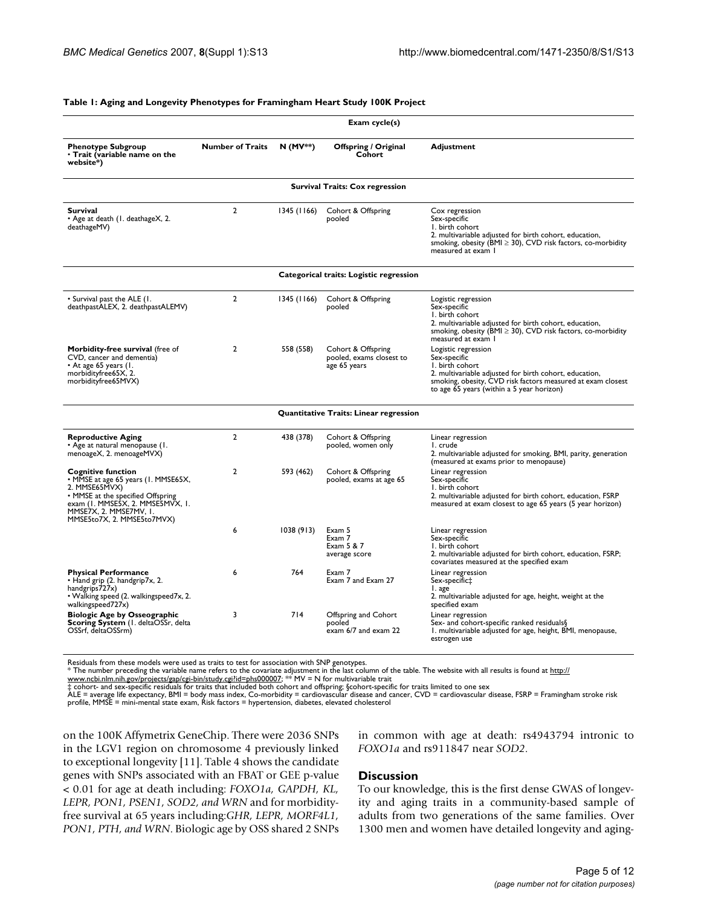#### **Table 1: Aging and Longevity Phenotypes for Framingham Heart Study 100K Project**

|                                                                                                                                                                                                                    |                                                                   |                                             | Exam cycle(s)                                          |                                                                                                                                                                                                                              |
|--------------------------------------------------------------------------------------------------------------------------------------------------------------------------------------------------------------------|-------------------------------------------------------------------|---------------------------------------------|--------------------------------------------------------|------------------------------------------------------------------------------------------------------------------------------------------------------------------------------------------------------------------------------|
| <b>Phenotype Subgroup</b><br>• Trait (variable name on the<br>website*)                                                                                                                                            | <b>Number of Traits</b>                                           | $N(MV^*)$                                   | Offspring / Original<br>Cohort                         | <b>Adjustment</b>                                                                                                                                                                                                            |
|                                                                                                                                                                                                                    |                                                                   |                                             | <b>Survival Traits: Cox regression</b>                 |                                                                                                                                                                                                                              |
| <b>Survival</b><br>• Age at death (1. deathageX, 2.<br>deathageMV)                                                                                                                                                 | $\overline{2}$                                                    | 1345 (1166)<br>Cohort & Offspring<br>pooled |                                                        | Cox regression<br>Sex-specific<br>I. birth cohort<br>2. multivariable adjusted for birth cohort, education,<br>smoking, obesity (BMI ≥ 30), CVD risk factors, co-morbidity<br>measured at exam I                             |
|                                                                                                                                                                                                                    |                                                                   |                                             | Categorical traits: Logistic regression                |                                                                                                                                                                                                                              |
| • Survival past the ALE (1.<br>deathpastALEX, 2. deathpastALEMV)                                                                                                                                                   | $\overline{2}$                                                    | 1345 (1166)                                 | Cohort & Offspring<br>pooled                           | Logistic regression<br>Sex-specific<br>I. birth cohort<br>2. multivariable adjusted for birth cohort, education,<br>smoking, obesity (BMI $\geq$ 30), CVD risk factors, co-morbidity<br>measured at exam 1                   |
| Morbidity-free survival (free of<br>CVD, cancer and dementia)<br>• At age 65 years (1.<br>morbidityfree65X, 2.<br>morbidityfree65MVX)                                                                              | $\overline{2}$<br>558 (558)<br>Cohort & Offspring<br>age 65 years |                                             | pooled, exams closest to                               | Logistic regression<br>Sex-specific<br>I. birth cohort<br>2. multivariable adjusted for birth cohort, education,<br>smoking, obesity, CVD risk factors measured at exam closest<br>to age 65 years (within a 5 year horizon) |
|                                                                                                                                                                                                                    |                                                                   |                                             | <b>Quantitative Traits: Linear regression</b>          |                                                                                                                                                                                                                              |
| <b>Reproductive Aging</b><br>• Age at natural menopause (1.<br>menoageX, 2. menoageMVX)                                                                                                                            | $\overline{2}$                                                    | 438 (378)                                   | Cohort & Offspring<br>pooled, women only               | Linear regression<br>I. crude<br>2. multivariable adjusted for smoking, BMI, parity, generation<br>(measured at exams prior to menopause)                                                                                    |
| <b>Cognitive function</b><br>• MMSE at age 65 years (1. MMSE65X,<br>2. MMSE65MVX)<br>• MMSE at the specified Offspring<br>exam (I. MMSE5X, 2. MMSE5MVX, I.<br>MMSE7X, 2. MMSE7MV, I.<br>MMSE5to7X, 2. MMSE5to7MVX) | $\overline{2}$                                                    | 593 (462)                                   | Cohort & Offspring<br>pooled, exams at age 65          | Linear regression<br>Sex-specific<br>I. birth cohort<br>2. multivariable adjusted for birth cohort, education, FSRP<br>measured at exam closest to age 65 years (5 year horizon)                                             |
|                                                                                                                                                                                                                    | 6                                                                 | 1038 (913)                                  | Exam 5<br>Exam 7<br>Exam 5 & 7<br>average score        | Linear regression<br>Sex-specific<br>I. birth cohort<br>2. multivariable adjusted for birth cohort, education, FSRP;<br>covariates measured at the specified exam                                                            |
| <b>Physical Performance</b><br>• Hand grip (2. handgrip7x, 2.<br>handgrips727x)<br>• Walking speed (2. walkingspeed7x, 2.<br>walkingspeed727x)                                                                     | 6                                                                 | 764                                         | Exam 7<br>Exam 7 and Exam 27                           | Linear regression<br>Sex-specific#<br>I. age<br>2. multivariable adjusted for age, height, weight at the<br>specified exam                                                                                                   |
| <b>Biologic Age by Osseographic</b><br>Scoring System (1. deltaOSSr, delta<br>OSSrf, deltaOSSrm)                                                                                                                   | 3                                                                 | 714                                         | Offspring and Cohort<br>pooled<br>exam 6/7 and exam 22 | Linear regression<br>Sex- and cohort-specific ranked residuals§<br>1. multivariable adjusted for age, height, BMI, menopause,<br>estrogen use                                                                                |

Residuals from these models were used as traits to test for association with SNP genotypes.<br>\* The number preceding the variable name refers to the covariate adjustment in the last column of the table. The website with all

ALE = average life expectancy, BMI = body mass index, Co-morbidity = cardiovascular disease and cancer, CVD = cardiovascular disease, FSRP = Framingham stroke risk<br>profile, MMSE = mini-mental state exam, Risk factors = hyp

on the 100K Affymetrix GeneChip. There were 2036 SNPs in the LGV1 region on chromosome 4 previously linked to exceptional longevity [11]. Table 4 shows the candidate genes with SNPs associated with an FBAT or GEE p-value < 0.01 for age at death including: *FOXO1a, GAPDH, KL, LEPR, PON1, PSEN1, SOD2, and WRN* and for morbidityfree survival at 65 years including:*GHR, LEPR, MORF4L1, PON1, PTH, and WRN*. Biologic age by OSS shared 2 SNPs in common with age at death: rs4943794 intronic to *FOXO1a* and rs911847 near *SOD2*.

# **Discussion**

To our knowledge, this is the first dense GWAS of longevity and aging traits in a community-based sample of adults from two generations of the same families. Over 1300 men and women have detailed longevity and aging-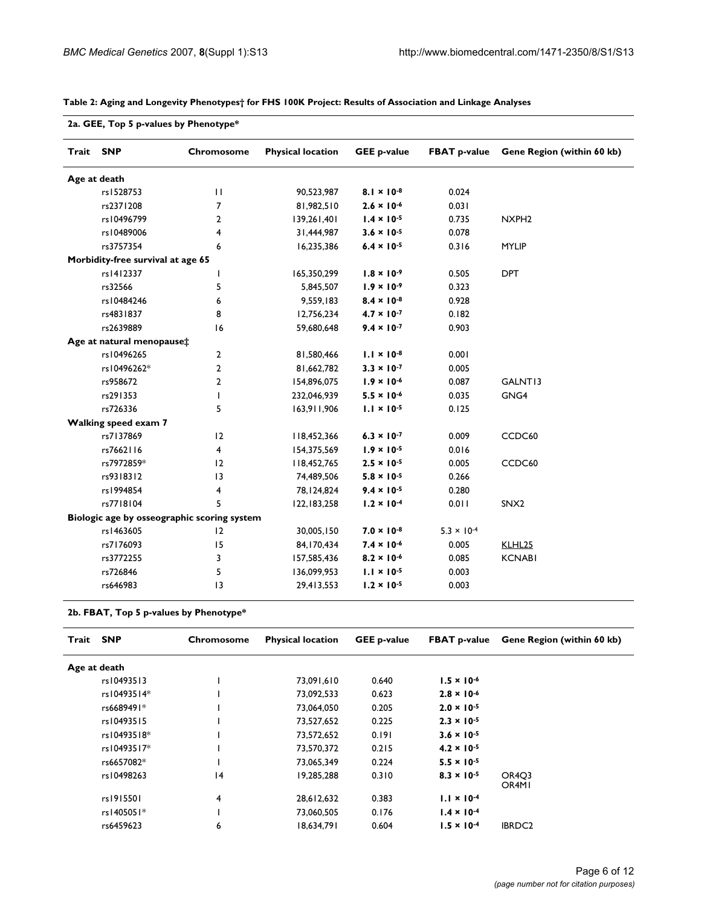|           | 2a. GEE, Top 5 p-values by Phenotype* |                                             |                          |                      |                      |                            |
|-----------|---------------------------------------|---------------------------------------------|--------------------------|----------------------|----------------------|----------------------------|
| Trait SNP |                                       | Chromosome                                  | <b>Physical location</b> | <b>GEE p-value</b>   | <b>FBAT p-value</b>  | Gene Region (within 60 kb) |
|           | Age at death                          |                                             |                          |                      |                      |                            |
|           | rs1528753                             | $\mathbf{H}$                                | 90,523,987               | $8.1 \times 10^{-8}$ | 0.024                |                            |
|           | rs2371208                             | 7                                           | 81,982,510               | $2.6 \times 10^{-6}$ | 0.031                |                            |
|           | rs10496799                            | $\mathbf{2}$                                | 139,261,401              | $1.4 \times 10^{-5}$ | 0.735                | NXPH <sub>2</sub>          |
|           | rs10489006                            | 4                                           | 31,444,987               | $3.6 \times 10^{-5}$ | 0.078                |                            |
|           | rs3757354                             | 6                                           | 16,235,386               | $6.4 \times 10^{-5}$ | 0.316                | <b>MYLIP</b>               |
|           | Morbidity-free survival at age 65     |                                             |                          |                      |                      |                            |
|           | rs1412337                             | $\mathbf{I}$                                | 165,350,299              | $1.8 \times 10^{-9}$ | 0.505                | <b>DPT</b>                 |
|           | rs32566                               | 5                                           | 5,845,507                | $1.9 \times 10^{-9}$ | 0.323                |                            |
|           | rs10484246                            | 6                                           | 9,559,183                | $8.4 \times 10^{-8}$ | 0.928                |                            |
|           | rs4831837                             | 8                                           | 12,756,234               | $4.7 \times 10^{-7}$ | 0.182                |                            |
|           | rs2639889                             | 16                                          | 59,680,648               | $9.4 \times 10^{-7}$ | 0.903                |                            |
|           | Age at natural menopause‡             |                                             |                          |                      |                      |                            |
|           | rs10496265                            | $\overline{2}$                              | 81,580,466               | $1.1 \times 10^{-8}$ | 0.001                |                            |
|           | rs10496262*                           | $\overline{2}$                              | 81,662,782               | $3.3 \times 10^{-7}$ | 0.005                |                            |
|           | rs958672                              | $\overline{2}$                              | 154,896,075              | $1.9 \times 10^{-6}$ | 0.087                | GALNT13                    |
|           | rs291353                              | $\mathsf{I}$                                | 232,046,939              | $5.5 \times 10^{-6}$ | 0.035                | GNG4                       |
|           | rs726336                              | 5                                           | 163,911,906              | $1.1 \times 10^{-5}$ | 0.125                |                            |
|           | Walking speed exam 7                  |                                             |                          |                      |                      |                            |
|           | rs7137869                             | 12                                          | 118,452,366              | $6.3 \times 10^{-7}$ | 0.009                | CCDC60                     |
|           | rs7662116                             | 4                                           | 154,375,569              | $1.9 \times 10^{-5}$ | 0.016                |                            |
|           | rs7972859*                            | 12                                          | 118,452,765              | $2.5 \times 10^{-5}$ | 0.005                | CCDC60                     |
|           | rs9318312                             | 13                                          | 74,489,506               | $5.8 \times 10^{-5}$ | 0.266                |                            |
|           | rs1994854                             | 4                                           | 78,124,824               | $9.4 \times 10^{-5}$ | 0.280                |                            |
|           | rs7718104                             | 5                                           | 122,183,258              | $1.2 \times 10^{-4}$ | 0.011                | SNX <sub>2</sub>           |
|           |                                       | Biologic age by osseographic scoring system |                          |                      |                      |                            |
|           | rs1463605                             | 12                                          | 30,005,150               | $7.0 \times 10^{-8}$ | $5.3 \times 10^{-4}$ |                            |
|           | rs7176093                             | 15                                          | 84,170,434               | $7.4 \times 10^{-6}$ | 0.005                | KLHL <sub>25</sub>         |
|           | rs3772255                             | 3                                           | 157,585,436              | $8.2 \times 10^{-6}$ | 0.085                | <b>KCNABI</b>              |
|           | rs726846                              | 5                                           | 136,099,953              | $1.1 \times 10^{-5}$ | 0.003                |                            |
|           | rs646983                              | 3                                           | 29,413,553               | $1.2 \times 10^{-5}$ | 0.003                |                            |
|           |                                       |                                             |                          |                      |                      |                            |

### **Table 2: Aging and Longevity Phenotypes† for FHS 100K Project: Results of Association and Linkage Analyses**

**2b. FBAT, Top 5 p-values by Phenotype\***

| Trait        | <b>SNP</b>  | Chromosome | <b>Physical location</b> | <b>GEE p-value</b> | <b>FBAT p-value</b>  | Gene Region (within 60 kb)                           |
|--------------|-------------|------------|--------------------------|--------------------|----------------------|------------------------------------------------------|
| Age at death |             |            |                          |                    |                      |                                                      |
|              | rs10493513  |            | 73.091.610               | 0.640              | $1.5 \times 10^{-6}$ |                                                      |
|              | rs10493514* |            | 73,092,533               | 0.623              | $2.8 \times 10^{-6}$ |                                                      |
|              | rs6689491*  |            | 73.064.050               | 0.205              | $2.0 \times 10^{-5}$ |                                                      |
|              | rs10493515  |            | 73,527,652               | 0.225              | $2.3 \times 10^{-5}$ |                                                      |
|              | rs10493518* |            | 73,572,652               | 0.191              | $3.6 \times 10^{-5}$ |                                                      |
|              | rs10493517* |            | 73.570.372               | 0.215              | $4.2 \times 10^{-5}$ |                                                      |
|              | rs6657082*  |            | 73,065,349               | 0.224              | $5.5 \times 10^{-5}$ |                                                      |
|              | rs10498263  | 4          | 19,285,288               | 0.310              | $8.3 \times 10^{-5}$ | OR <sub>4</sub> O <sub>3</sub><br>OR <sub>4</sub> MI |
|              | rs1915501   | 4          | 28,612,632               | 0.383              | $1.1 \times 10^{-4}$ |                                                      |
|              | rs1405051*  |            | 73,060,505               | 0.176              | $1.4 \times 10^{-4}$ |                                                      |
|              | rs6459623   | 6          | 18.634.791               | 0.604              | $1.5 \times 10^{-4}$ | IBRDC <sub>2</sub>                                   |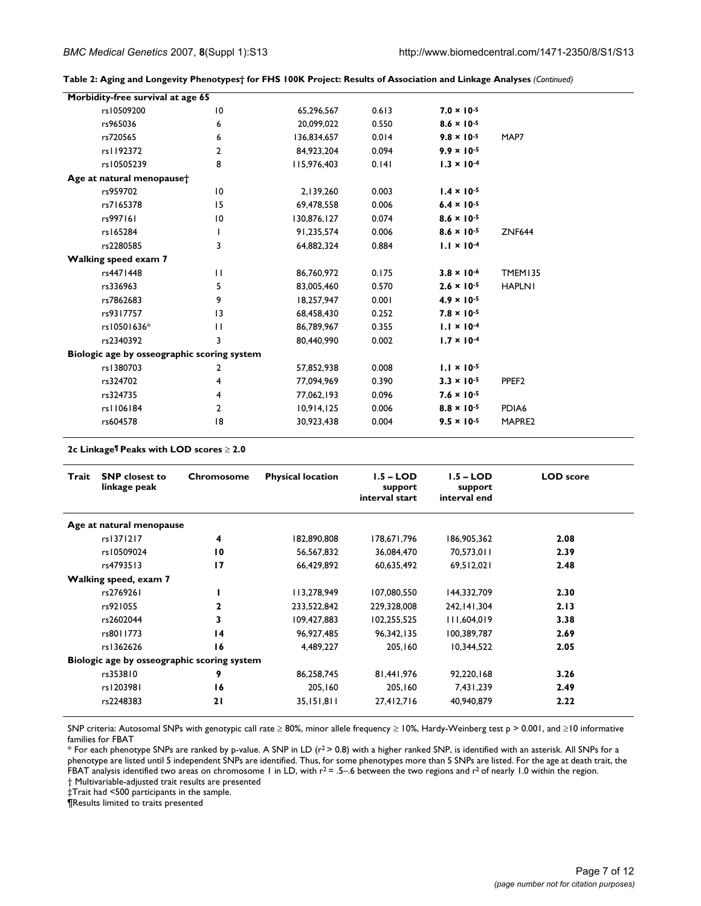| Table 2: Aging and Longevity Phenotypes† for FHS 100K Project: Results of Association and Linkage Analyses (Continued) |  |  |  |  |
|------------------------------------------------------------------------------------------------------------------------|--|--|--|--|
|------------------------------------------------------------------------------------------------------------------------|--|--|--|--|

| Morbidity-free survival at age 65           |                 |             |       |                      |                   |
|---------------------------------------------|-----------------|-------------|-------|----------------------|-------------------|
| rs10509200                                  | $\overline{10}$ | 65,296,567  | 0.613 | $7.0 \times 10^{-5}$ |                   |
| rs965036                                    | 6               | 20,099,022  | 0.550 | $8.6 \times 10^{-5}$ |                   |
| rs720565                                    | 6               | 136,834,657 | 0.014 | $9.8 \times 10^{-5}$ | MAP7              |
| rs1192372                                   | $\overline{2}$  | 84,923,204  | 0.094 | $9.9 \times 10^{-5}$ |                   |
| rs10505239                                  | 8               | 115,976,403 | 0.141 | $1.3 \times 10^{-4}$ |                   |
| Age at natural menopause <sup>+</sup>       |                 |             |       |                      |                   |
| rs959702                                    | $\overline{10}$ | 2,139,260   | 0.003 | $1.4 \times 10^{-5}$ |                   |
| rs7165378                                   | 15              | 69,478,558  | 0.006 | $6.4 \times 10^{-5}$ |                   |
| rs997161                                    | $\overline{10}$ | 130,876,127 | 0.074 | $8.6 \times 10^{-5}$ |                   |
| rs165284                                    | I.              | 91,235,574  | 0.006 | $8.6 \times 10^{-5}$ | <b>ZNF644</b>     |
| rs2280585                                   | 3               | 64,882,324  | 0.884 | $1.1 \times 10^{-4}$ |                   |
| <b>Walking speed exam 7</b>                 |                 |             |       |                      |                   |
| rs4471448                                   | $\mathbf{H}$    | 86,760,972  | 0.175 | $3.8 \times 10^{-6}$ | <b>TMEM135</b>    |
| rs336963                                    | 5               | 83,005,460  | 0.570 | $2.6 \times 10^{-5}$ | <b>HAPLNI</b>     |
| rs7862683                                   | 9               | 18,257,947  | 0.001 | $4.9 \times 10^{-5}$ |                   |
| rs9317757                                   | 3               | 68,458,430  | 0.252 | $7.8 \times 10^{-5}$ |                   |
| rs10501636*                                 | $\mathbf{H}$    | 86,789,967  | 0.355 | $1.1 \times 10^{-4}$ |                   |
| rs2340392                                   | 3               | 80,440,990  | 0.002 | $1.7 \times 10^{-4}$ |                   |
| Biologic age by osseographic scoring system |                 |             |       |                      |                   |
| rs1380703                                   | 2               | 57,852,938  | 0.008 | $1.1 \times 10^{-5}$ |                   |
| rs324702                                    | 4               | 77,094,969  | 0.390 | $3.3 \times 10^{-5}$ | PPEF <sub>2</sub> |
| rs324735                                    | 4               | 77,062,193  | 0.096 | $7.6 \times 10^{-5}$ |                   |
| rs1106184                                   | $\overline{2}$  | 10,914,125  | 0.006 | $8.8 \times 10^{-5}$ | PDIA6             |
| rs604578                                    | 18              | 30,923,438  | 0.004 | $9.5 \times 10^{-5}$ | MAPRE2            |
|                                             |                 |             |       |                      |                   |

**2c Linkage¶ Peaks with LOD scores** ≥ **2.0**

| Trait | <b>SNP</b> closest to<br>linkage peak       | Chromosome      | <b>Physical location</b> | $1.5 - LOD$<br>support<br>interval start | $1.5 - LOD$<br>support<br>interval end | <b>LOD</b> score |
|-------|---------------------------------------------|-----------------|--------------------------|------------------------------------------|----------------------------------------|------------------|
|       | Age at natural menopause                    |                 |                          |                                          |                                        |                  |
|       | rs1371217                                   | 4               | 182,890,808              | 178,671,796                              | 186,905,362                            | 2.08             |
|       | rs10509024                                  | 10              | 56.567.832               | 36,084,470                               | 70.573.011                             | 2.39             |
|       | rs4793513                                   | 17              | 66,429,892               | 60,635,492                               | 69,512,021                             | 2.48             |
|       | Walking speed, exam 7                       |                 |                          |                                          |                                        |                  |
|       | rs2769261                                   |                 | 113,278,949              | 107,080,550                              | 144,332,709                            | 2.30             |
|       | rs921055                                    | 2               | 233,522,842              | 229,328,008                              | 242, 141, 304                          | 2.13             |
|       | rs2602044                                   | 3               | 109,427,883              | 102,255,525                              | 111,604,019                            | 3.38             |
|       | rs8011773                                   | $\overline{14}$ | 96,927,485               | 96, 342, 135                             | 100,389,787                            | 2.69             |
|       | rs1362626                                   | 16              | 4,489,227                | 205,160                                  | 10,344,522                             | 2.05             |
|       | Biologic age by osseographic scoring system |                 |                          |                                          |                                        |                  |
|       | rs353810                                    | 9               | 86,258,745               | 81,441,976                               | 92,220,168                             | 3.26             |
|       | rs1203981                                   | 16              | 205,160                  | 205,160                                  | 7,431,239                              | 2.49             |
|       | rs2248383                                   | 21              | 35,151,811               | 27,412,716                               | 40,940,879                             | 2.22             |

SNP criteria: Autosomal SNPs with genotypic call rate ≥ 80%, minor allele frequency ≥ 10%, Hardy-Weinberg test p > 0.001, and ≥10 informative families for FBAT

 $*$  For each phenotype SNPs are ranked by p-value. A SNP in LD ( $r^2$  > 0.8) with a higher ranked SNP, is identified with an asterisk. All SNPs for a phenotype are listed until 5 independent SNPs are identified. Thus, for some phenotypes more than 5 SNPs are listed. For the age at death trait, the FBAT analysis identified two areas on chromosome 1 in LD, with  $r^2 = .5 - .6$  between the two regions and  $r^2$  of nearly 1.0 within the region.

† Multivariable-adjusted trait results are presented

‡Trait had <500 participants in the sample. ¶Results limited to traits presented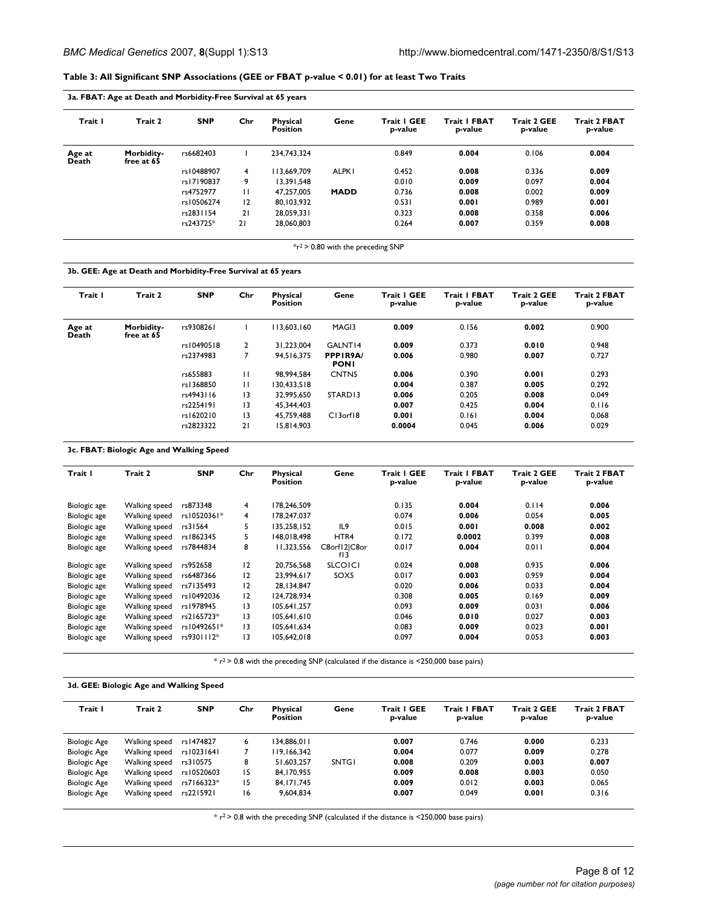### **Table 3: All Significant SNP Associations (GEE or FBAT p-value < 0.01) for at least Two Traits**

| Trait I         | Trait 2                  | <b>SNP</b> | Chr          | <b>Physical</b><br><b>Position</b> | Gene         | Trait   GEE<br>p-value | <b>Trait I FBAT</b><br>p-value | <b>Trait 2 GEE</b><br>p-value | <b>Trait 2 FBAT</b><br>p-value |
|-----------------|--------------------------|------------|--------------|------------------------------------|--------------|------------------------|--------------------------------|-------------------------------|--------------------------------|
| Age at<br>Death | Morbidity-<br>free at 65 | rs6682403  |              | 234.743.324                        |              | 0.849                  | 0.004                          | 0.106                         | 0.004                          |
|                 |                          | rs10488907 | 4            | 113.669.709                        | <b>ALPK1</b> | 0.452                  | 0.008                          | 0.336                         | 0.009                          |
|                 |                          | rs17190837 | 9            | 13.391.548                         |              | 0.010                  | 0.009                          | 0.097                         | 0.004                          |
|                 |                          | rs4752977  | $\mathbf{H}$ | 47.257.005                         | <b>MADD</b>  | 0.736                  | 0.008                          | 0.002                         | 0.009                          |
|                 |                          | rs10506274 | 12           | 80.103.932                         |              | 0.531                  | 0.001                          | 0.989                         | 0.001                          |
|                 |                          | rs2831154  | 21           | 28,059,331                         |              | 0.323                  | 0.008                          | 0.358                         | 0.006                          |
|                 |                          | rs243725*  | 21           | 28,060,803                         |              | 0.264                  | 0.007                          | 0.359                         | 0.008                          |

 $*r^2$  > 0.80 with the preceding SNP

#### **3b. GEE: Age at Death and Morbidity-Free Survival at 65 years**

| Trait I         | Trait 2                  | <b>SNP</b> | Chr            | <b>Physical</b><br><b>Position</b> | Gene                    | Trait I GEE<br>p-value | <b>Trait I FBAT</b><br>p-value | <b>Trait 2 GEE</b><br>p-value | <b>Trait 2 FBAT</b><br>p-value |
|-----------------|--------------------------|------------|----------------|------------------------------------|-------------------------|------------------------|--------------------------------|-------------------------------|--------------------------------|
| Age at<br>Death | Morbidity-<br>free at 65 | rs9308261  |                | 113,603,160                        | MAG <sub>13</sub>       | 0.009                  | 0.156                          | 0.002                         | 0.900                          |
|                 |                          | rs10490518 | $\overline{2}$ | 31.223.004                         | GALNT14                 | 0.009                  | 0.373                          | 0.010                         | 0.948                          |
|                 |                          | rs2374983  | $\overline{7}$ | 94.516.375                         | PPPIR9A/<br><b>PONI</b> | 0.006                  | 0.980                          | 0.007                         | 0.727                          |
|                 |                          | rs655883   | $\mathbf{H}$   | 98.994.584                         | CNTN5                   | 0.006                  | 0.390                          | 0.001                         | 0.293                          |
|                 |                          | rs1368850  | $\mathbf{H}$   | 130.433.518                        |                         | 0.004                  | 0.387                          | 0.005                         | 0.292                          |
|                 |                          | rs4943116  | 3              | 32,995.650                         | STARD <sub>13</sub>     | 0.006                  | 0.205                          | 0.008                         | 0.049                          |
|                 |                          | rs2254191  | 3              | 45.344.403                         |                         | 0.007                  | 0.425                          | 0.004                         | 0.116                          |
|                 |                          | rs1620210  | 3              | 45.759.488                         | $Cl3$ orf $I8$          | 0.001                  | 0.161                          | 0.004                         | 0.068                          |
|                 |                          | rs2823322  | 21             | 15.814.903                         |                         | 0.0004                 | 0.045                          | 0.006                         | 0.029                          |

#### **3c. FBAT: Biologic Age and Walking Speed**

| Trait I      | Trait 2       | <b>SNP</b>  | Chr             | <b>Physical</b><br><b>Position</b> | Gene                | Trait I GEE<br>p-value | <b>Trait I FBAT</b><br>p-value | <b>Trait 2 GEE</b><br>p-value | <b>Trait 2 FBAT</b><br>p-value |
|--------------|---------------|-------------|-----------------|------------------------------------|---------------------|------------------------|--------------------------------|-------------------------------|--------------------------------|
| Biologic age | Walking speed | rs873348    | 4               | 178,246,509                        |                     | 0.135                  | 0.004                          | 0.114                         | 0.006                          |
| Biologic age | Walking speed | rs10520361* | 4               | 178,247,037                        |                     | 0.074                  | 0.006                          | 0.054                         | 0.005                          |
| Biologic age | Walking speed | rs31564     | 5.              | 135,258,152                        | IL <sub>9</sub>     | 0.015                  | 0.001                          | 0.008                         | 0.002                          |
| Biologic age | Walking speed | rs1862345   | 5.              | 148,018,498                        | HTR4                | 0.172                  | 0.0002                         | 0.399                         | 0.008                          |
| Biologic age | Walking speed | rs7844834   | 8               | 11.323.556                         | C8orf12 C8or<br>f13 | 0.017                  | 0.004                          | 0.011                         | 0.004                          |
| Biologic age | Walking speed | rs952658    | 12              | 20.756.568                         | <b>SLCOICI</b>      | 0.024                  | 0.008                          | 0.935                         | 0.006                          |
| Biologic age | Walking speed | rs6487366   | 12              | 23.994.617                         | SOX5                | 0.017                  | 0.003                          | 0.959                         | 0.004                          |
| Biologic age | Walking speed | rs7135493   | 12              | 28.134.847                         |                     | 0.020                  | 0.006                          | 0.033                         | 0.004                          |
| Biologic age | Walking speed | rs10492036  | 12              | 124,728,934                        |                     | 0.308                  | 0.005                          | 0.169                         | 0.009                          |
| Biologic age | Walking speed | rs1978945   | 13              | 105,641,257                        |                     | 0.093                  | 0.009                          | 0.031                         | 0.006                          |
| Biologic age | Walking speed | rs2165723*  | 13              | 105.641.610                        |                     | 0.046                  | 0.010                          | 0.027                         | 0.003                          |
| Biologic age | Walking speed | rs10492651* | $\overline{13}$ | 105,641,634                        |                     | 0.083                  | 0.009                          | 0.023                         | 0.001                          |
| Biologic age | Walking speed | rs9301112*  | $\overline{13}$ | 105.642.018                        |                     | 0.097                  | 0.004                          | 0.053                         | 0.003                          |

 $*$   $r^2$  > 0.8 with the preceding SNP (calculated if the distance is <250,000 base pairs)

### **3d. GEE: Biologic Age and Walking Speed**

| Trait I             | Trait 2       | <b>SNP</b> | Chr | <b>Physical</b><br><b>Position</b> | Gene         | Trait I GEE<br>p-value | <b>Trait I FBAT</b><br>p-value | <b>Trait 2 GEE</b><br>p-value | <b>Trait 2 FBAT</b><br>p-value |
|---------------------|---------------|------------|-----|------------------------------------|--------------|------------------------|--------------------------------|-------------------------------|--------------------------------|
| <b>Biologic Age</b> | Walking speed | rs 1474827 | 6   | 134.886.011                        |              | 0.007                  | 0.746                          | 0.000                         | 0.233                          |
| <b>Biologic Age</b> | Walking speed | rs10231641 |     | 119.166.342                        |              | 0.004                  | 0.077                          | 0.009                         | 0.278                          |
| <b>Biologic Age</b> | Walking speed | rs310575   | 8   | 51.603.257                         | <b>SNTG1</b> | 0.008                  | 0.209                          | 0.003                         | 0.007                          |
| <b>Biologic Age</b> | Walking speed | rs10520603 | 15  | 84.170.955                         |              | 0.009                  | 0.008                          | 0.003                         | 0.050                          |
| <b>Biologic Age</b> | Walking speed | rs7166323* | 15  | 84.171.745                         |              | 0.009                  | 0.012                          | 0.003                         | 0.065                          |
| <b>Biologic Age</b> | Walking speed | rs2215921  | 16  | 9,604,834                          |              | 0.007                  | 0.049                          | 0.001                         | 0.316                          |

 $*$   $r^2$  > 0.8 with the preceding SNP (calculated if the distance is <250,000 base pairs)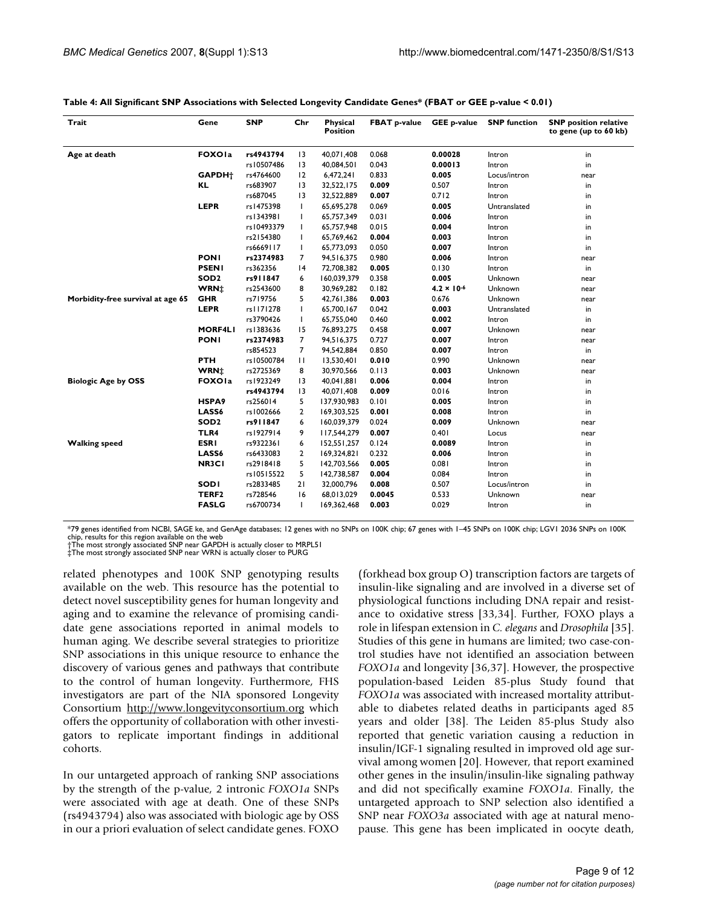| Trait                             | Gene                    | <b>SNP</b> | Chr             | <b>Physical</b><br><b>Position</b> | <b>FBAT p-value</b> | <b>GEE p-value</b>   | <b>SNP</b> function | <b>SNP</b> position relative<br>to gene (up to 60 kb) |
|-----------------------------------|-------------------------|------------|-----------------|------------------------------------|---------------------|----------------------|---------------------|-------------------------------------------------------|
| Age at death                      | <b>FOXOIa</b>           | rs4943794  | 13              | 40,071,408                         | 0.068               | 0.00028              | Intron              | in                                                    |
|                                   |                         | rs10507486 | $\overline{13}$ | 40,084,501                         | 0.043               | 0.00013              | Intron              | in                                                    |
|                                   | GAPDH <sup>+</sup>      | rs4764600  | 12              | 6,472,241                          | 0.833               | 0.005                | Locus/intron        | near                                                  |
|                                   | KL                      | rs683907   | $\overline{13}$ | 32,522,175                         | 0.009               | 0.507                | Intron              | in                                                    |
|                                   |                         | rs687045   | 3               | 32,522,889                         | 0.007               | 0.712                | Intron              | in                                                    |
|                                   | <b>LEPR</b>             | rs1475398  | ı               | 65,695,278                         | 0.069               | 0.005                | Untranslated        | in                                                    |
|                                   |                         | rs1343981  |                 | 65,757,349                         | 0.031               | 0.006                | Intron              | in                                                    |
|                                   |                         | rs10493379 |                 | 65,757,948                         | 0.015               | 0.004                | Intron              | in                                                    |
|                                   |                         | rs2154380  |                 | 65,769,462                         | 0.004               | 0.003                | Intron              | in                                                    |
|                                   |                         | rs6669117  | т               | 65,773,093                         | 0.050               | 0.007                | Intron              | in                                                    |
|                                   | <b>PONI</b>             | rs2374983  | 7               | 94,516,375                         | 0.980               | 0.006                | Intron              | near                                                  |
|                                   | <b>PSENI</b>            | rs362356   | 4               | 72,708,382                         | 0.005               | 0.130                | Intron              | in                                                    |
|                                   | SOD <sub>2</sub>        | rs911847   | 6               | 160,039,379                        | 0.358               | 0.005                | Unknown             | near                                                  |
|                                   | <b>WRN</b> <sup>+</sup> | rs2543600  | 8               | 30,969,282                         | 0.182               | $4.2 \times 10^{-6}$ | Unknown             | near                                                  |
| Morbidity-free survival at age 65 | <b>GHR</b>              | rs719756   | 5               | 42,761,386                         | 0.003               | 0.676                | Unknown             | near                                                  |
|                                   | <b>LEPR</b>             | rs1171278  | T               | 65,700,167                         | 0.042               | 0.003                | Untranslated        | in                                                    |
|                                   |                         | rs3790426  | L               | 65,755,040                         | 0.460               | 0.002                | Intron              | in                                                    |
|                                   | <b>MORF4LI</b>          | rs1383636  | 15              | 76,893,275                         | 0.458               | 0.007                | Unknown             | near                                                  |
|                                   | <b>PONI</b>             | rs2374983  | 7               | 94,516,375                         | 0.727               | 0.007                | Intron              | near                                                  |
|                                   |                         | rs854523   | 7               | 94,542,884                         | 0.850               | 0.007                | Intron              | in                                                    |
|                                   | <b>PTH</b>              | rs10500784 | П               | 13,530,401                         | 0.010               | 0.990                | Unknown             | near                                                  |
|                                   | <b>WRN</b> <sup>+</sup> | rs2725369  | 8               | 30,970,566                         | 0.113               | 0.003                | Unknown             | near                                                  |
| <b>Biologic Age by OSS</b>        | <b>FOXOIa</b>           | rs1923249  | $\overline{13}$ | 40,041,881                         | 0.006               | 0.004                | Intron              | in                                                    |
|                                   |                         | rs4943794  | $\overline{13}$ | 40,071,408                         | 0.009               | 0.016                | Intron              | in                                                    |
|                                   | HSPA <sub>9</sub>       | rs256014   | 5               | 137,930,983                        | 0.101               | 0.005                | Intron              | in                                                    |
|                                   | LASS6                   | rs1002666  | 2               | 169,303,525                        | 0.001               | 0.008                | Intron              | in                                                    |
|                                   | SOD <sub>2</sub>        | rs911847   | 6               | 160,039,379                        | 0.024               | 0.009                | Unknown             | near                                                  |
|                                   | TLR4                    | rs1927914  | 9               | 117,544,279                        | 0.007               | 0.401                | Locus               | near                                                  |
| <b>Walking speed</b>              | <b>ESRI</b>             | rs9322361  | 6               | 152,551,257                        | 0.124               | 0.0089               | Intron              | in                                                    |
|                                   | LASS6                   | rs6433083  | 2               | 169,324,821                        | 0.232               | 0.006                | Intron              | in                                                    |
|                                   | NR3C1                   | rs2918418  | 5               | 142,703,566                        | 0.005               | 0.081                | Intron              | in                                                    |
|                                   |                         | rs10515522 | 5               | 142,738,587                        | 0.004               | 0.084                | Intron              | in                                                    |
|                                   | <b>SODI</b>             | rs2833485  | 21              | 32,000,796                         | 0.008               | 0.507                | Locus/intron        | in                                                    |
|                                   | TERF <sub>2</sub>       | rs728546   | 16              | 68,013,029                         | 0.0045              | 0.533                | Unknown             | near                                                  |
|                                   | <b>FASLG</b>            | rs6700734  | Ι.              | 169,362,468                        | 0.003               | 0.029                | Intron              | in                                                    |

#### **Table 4: All Significant SNP Associations with Selected Longevity Candidate Genes\* (FBAT or GEE p-value < 0.01)**

\*79 genes identified from NCBI, SAGE ke, and GenAge databases; 12 genes with no SNPs on 100K chip; 67 genes with 1–45 SNPs on 100K chip; LGV1 2036 SNPs on 100K chip, results for this region available on the web †The most strongly associated SNP near GAPDH is actually closer to MRPL51 ‡The most strongly associated SNP near WRN is actually closer to PURG

related phenotypes and 100K SNP genotyping results available on the web. This resource has the potential to detect novel susceptibility genes for human longevity and aging and to examine the relevance of promising candidate gene associations reported in animal models to human aging. We describe several strategies to prioritize SNP associations in this unique resource to enhance the discovery of various genes and pathways that contribute to the control of human longevity. Furthermore, FHS investigators are part of the NIA sponsored Longevity Consortium <http://www.longevityconsortium.org>which offers the opportunity of collaboration with other investigators to replicate important findings in additional cohorts.

In our untargeted approach of ranking SNP associations by the strength of the p-value, 2 intronic *FOXO1a* SNPs were associated with age at death. One of these SNPs (rs4943794) also was associated with biologic age by OSS in our a priori evaluation of select candidate genes. FOXO

(forkhead box group O) transcription factors are targets of insulin-like signaling and are involved in a diverse set of physiological functions including DNA repair and resistance to oxidative stress [33,34]. Further, FOXO plays a role in lifespan extension in *C. elegans* and *Drosophila* [35]. Studies of this gene in humans are limited; two case-control studies have not identified an association between *FOXO1a* and longevity [36,37]. However, the prospective population-based Leiden 85-plus Study found that *FOXO1a* was associated with increased mortality attributable to diabetes related deaths in participants aged 85 years and older [38]. The Leiden 85-plus Study also reported that genetic variation causing a reduction in insulin/IGF-1 signaling resulted in improved old age survival among women [20]. However, that report examined other genes in the insulin/insulin-like signaling pathway and did not specifically examine *FOXO1a*. Finally, the untargeted approach to SNP selection also identified a SNP near *FOXO3a* associated with age at natural menopause. This gene has been implicated in oocyte death,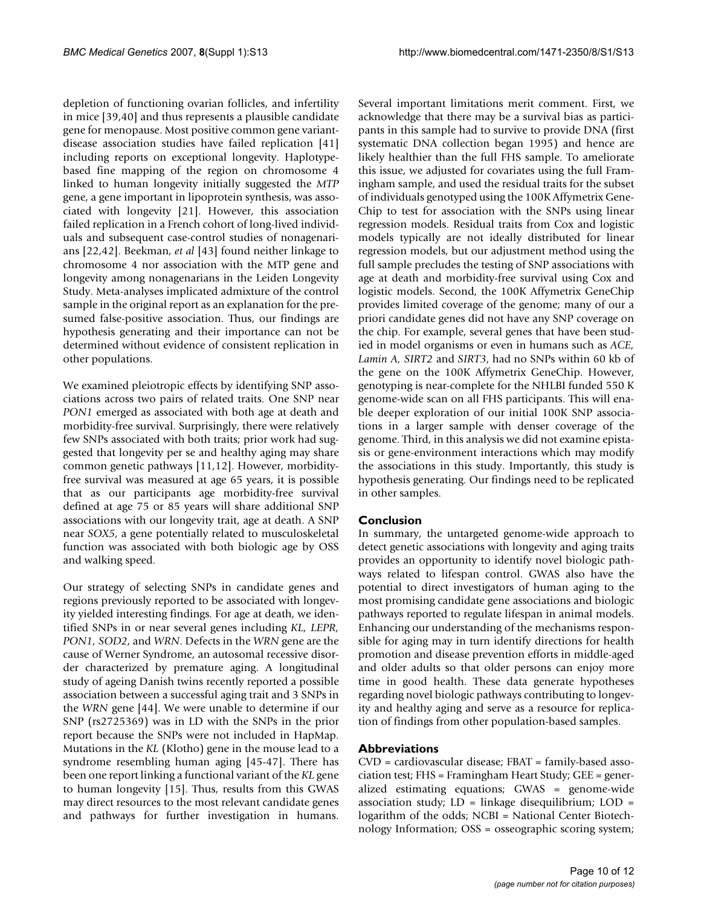depletion of functioning ovarian follicles, and infertility in mice [39,40] and thus represents a plausible candidate gene for menopause. Most positive common gene variantdisease association studies have failed replication [41] including reports on exceptional longevity. Haplotypebased fine mapping of the region on chromosome 4 linked to human longevity initially suggested the *MTP* gene, a gene important in lipoprotein synthesis, was associated with longevity [21]. However, this association failed replication in a French cohort of long-lived individuals and subsequent case-control studies of nonagenarians [22,42]. Beekman, *et al* [43] found neither linkage to chromosome 4 nor association with the MTP gene and longevity among nonagenarians in the Leiden Longevity Study. Meta-analyses implicated admixture of the control sample in the original report as an explanation for the presumed false-positive association. Thus, our findings are hypothesis generating and their importance can not be determined without evidence of consistent replication in other populations.

We examined pleiotropic effects by identifying SNP associations across two pairs of related traits. One SNP near *PON1* emerged as associated with both age at death and morbidity-free survival. Surprisingly, there were relatively few SNPs associated with both traits; prior work had suggested that longevity per se and healthy aging may share common genetic pathways [11,12]. However, morbidityfree survival was measured at age 65 years, it is possible that as our participants age morbidity-free survival defined at age 75 or 85 years will share additional SNP associations with our longevity trait, age at death. A SNP near *SOX5*, a gene potentially related to musculoskeletal function was associated with both biologic age by OSS and walking speed.

Our strategy of selecting SNPs in candidate genes and regions previously reported to be associated with longevity yielded interesting findings. For age at death, we identified SNPs in or near several genes including *KL, LEPR, PON1, SOD2*, and *WRN*. Defects in the *WRN* gene are the cause of Werner Syndrome, an autosomal recessive disorder characterized by premature aging. A longitudinal study of ageing Danish twins recently reported a possible association between a successful aging trait and 3 SNPs in the *WRN* gene [44]. We were unable to determine if our SNP (rs2725369) was in LD with the SNPs in the prior report because the SNPs were not included in HapMap. Mutations in the *KL* (Klotho) gene in the mouse lead to a syndrome resembling human aging [45-47]. There has been one report linking a functional variant of the *KL* gene to human longevity [15]. Thus, results from this GWAS may direct resources to the most relevant candidate genes and pathways for further investigation in humans.

Several important limitations merit comment. First, we acknowledge that there may be a survival bias as participants in this sample had to survive to provide DNA (first systematic DNA collection began 1995) and hence are likely healthier than the full FHS sample. To ameliorate this issue, we adjusted for covariates using the full Framingham sample, and used the residual traits for the subset of individuals genotyped using the 100K Affymetrix Gene-Chip to test for association with the SNPs using linear regression models. Residual traits from Cox and logistic models typically are not ideally distributed for linear regression models, but our adjustment method using the full sample precludes the testing of SNP associations with age at death and morbidity-free survival using Cox and logistic models. Second, the 100K Affymetrix GeneChip provides limited coverage of the genome; many of our a priori candidate genes did not have any SNP coverage on the chip. For example, several genes that have been studied in model organisms or even in humans such as *ACE, Lamin A, SIRT2* and *SIRT3*, had no SNPs within 60 kb of the gene on the 100K Affymetrix GeneChip. However, genotyping is near-complete for the NHLBI funded 550 K genome-wide scan on all FHS participants. This will enable deeper exploration of our initial 100K SNP associations in a larger sample with denser coverage of the genome. Third, in this analysis we did not examine epistasis or gene-environment interactions which may modify the associations in this study. Importantly, this study is hypothesis generating. Our findings need to be replicated in other samples.

# **Conclusion**

In summary, the untargeted genome-wide approach to detect genetic associations with longevity and aging traits provides an opportunity to identify novel biologic pathways related to lifespan control. GWAS also have the potential to direct investigators of human aging to the most promising candidate gene associations and biologic pathways reported to regulate lifespan in animal models. Enhancing our understanding of the mechanisms responsible for aging may in turn identify directions for health promotion and disease prevention efforts in middle-aged and older adults so that older persons can enjoy more time in good health. These data generate hypotheses regarding novel biologic pathways contributing to longevity and healthy aging and serve as a resource for replication of findings from other population-based samples.

# **Abbreviations**

CVD = cardiovascular disease; FBAT = family-based association test; FHS = Framingham Heart Study; GEE = generalized estimating equations; GWAS = genome-wide association study;  $LD = linkage$  disequilibrium;  $LOD =$ logarithm of the odds; NCBI = National Center Biotechnology Information; OSS = osseographic scoring system;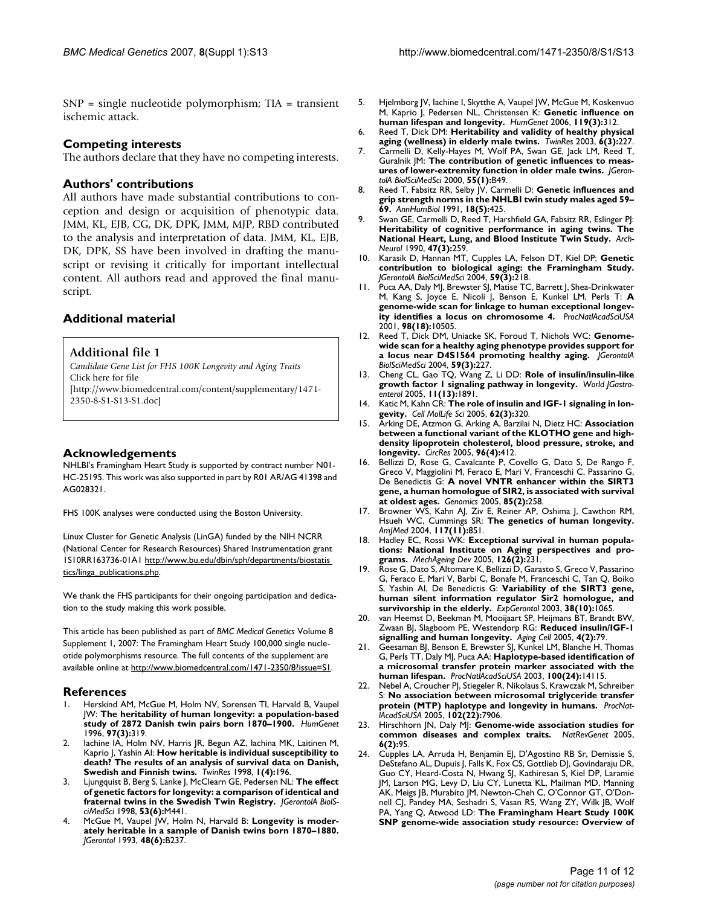SNP = single nucleotide polymorphism; TIA = transient ischemic attack.

# **Competing interests**

The authors declare that they have no competing interests.

# **Authors' contributions**

All authors have made substantial contributions to conception and design or acquisition of phenotypic data. JMM, KL, EJB, CG, DK, DPK, JMM, MJP, RBD contributed to the analysis and interpretation of data. JMM, KL, EJB, DK, DPK, SS have been involved in drafting the manuscript or revising it critically for important intellectual content. All authors read and approved the final manuscript.

# **Additional material**

**Additional file 1** *Candidate Gene List for FHS 100K Longevity and Aging Traits* Click here for file [\[http://www.biomedcentral.com/content/supplementary/1471-](http://www.biomedcentral.com/content/supplementary/1471-2350-8-S1-S13-S1.doc) 2350-8-S1-S13-S1.doc]

# **Acknowledgements**

NHLBI's Framingham Heart Study is supported by contract number N01- HC-25195. This work was also supported in part by R01 AR/AG 41398 and AG028321.

FHS 100K analyses were conducted using the Boston University.

Linux Cluster for Genetic Analysis (LinGA) funded by the NIH NCRR (National Center for Research Resources) Shared Instrumentation grant 1S10RR163736-01A1 [http://www.bu.edu/dbin/sph/departments/biostatis](http://www.bu.edu/dbin/sph/departments/biostatistics/linga_publications.php)  [tics/linga\\_publications.php.](http://www.bu.edu/dbin/sph/departments/biostatistics/linga_publications.php)

We thank the FHS participants for their ongoing participation and dedication to the study making this work possible.

This article has been published as part of *BMC Medical Genetics* Volume 8 Supplement 1, 2007: The Framingham Heart Study 100,000 single nucleotide polymorphisms resource. The full contents of the supplement are available online at<http://www.biomedcentral.com/1471-2350/8?issue=S1>.

# **References**

- 1. Herskind AM, McGue M, Holm NV, Sorensen TI, Harvald B, Vaupel JW: **The heritability of human longevity: a population-based study of 2872 Danish twin pairs born 1870–1900.** *HumGenet* 1996, **97(3):**319.
- 2. Iachine IA, Holm NV, Harris JR, Begun AZ, Iachina MK, Laitinen M, Kaprio J, Yashin AI: **How heritable is individual susceptibility to death? The results of an analysis of survival data on Danish, Swedish and Finnish twins.** *TwinRes* 1998, **1(4):**196.
- 3. Ljungquist B, Berg S, Lanke J, McClearn GE, Pedersen NL: **The effect of genetic factors for longevity: a comparison of identical and fraternal twins in the Swedish Twin Registry.** *JGerontolA BiolSciMedSci* 1998, **53(6):**M441.
- McGue M, Vaupel JW, Holm N, Harvald B: Longevity is moder**ately heritable in a sample of Danish twins born 1870–1880.** *JGerontol* 1993, **48(6):**B237.
- 5. Hjelmborg JV, Iachine I, Skytthe A, Vaupel JW, McGue M, Koskenvuo M, Kaprio J, Pedersen NL, Christensen K: **Genetic influence on human lifespan and longevity.** *HumGenet* 2006, **119(3):**312.
- 6. Reed T, Dick DM: **Heritability and validity of healthy physical aging (wellness) in elderly male twins.** *TwinRes* 2003, **6(3):**227.
- 7. Carmelli D, Kelly-Hayes M, Wolf PA, Swan GE, Jack LM, Reed T, Guralnik JM: **The contribution of genetic influences to measures of lower-extremity function in older male twins.** *JGerontolA BiolSciMedSci* 2000, **55(1):**B49.
- 8. Reed T, Fabsitz RR, Selby JV, Carmelli D: **Genetic influences and grip strength norms in the NHLBI twin study males aged 59– 69.** *AnnHumBiol* 1991, **18(5):**425.
- Swan GE, Carmelli D, Reed T, Harshfield GA, Fabsitz RR, Eslinger Pl: **Heritability of cognitive performance in aging twins. The National Heart, Lung, and Blood Institute Twin Study.** *Arch-Neurol* 1990, **47(3):**259.
- 10. Karasik D, Hannan MT, Cupples LA, Felson DT, Kiel DP: **Genetic contribution to biological aging: the Framingham Study.** *JGerontolA BiolSciMedSci* 2004, **59(3):**218.
- 11. Puca AA, Daly MJ, Brewster SJ, Matise TC, Barrett J, Shea-Drinkwater M, Kang S, Joyce E, Nicoli J, Benson E, Kunkel LM, Perls T: **A genome-wide scan for linkage to human exceptional longevity identifies a locus on chromosome 4.** *ProcNatlAcadSciUSA* 2001, **98(18):**10505.
- 12. Reed T, Dick DM, Uniacke SK, Foroud T, Nichols WC: **Genomewide scan for a healthy aging phenotype provides support for a locus near D4S1564 promoting healthy aging.** *JGerontolA BiolSciMedSci* 2004, **59(3):**227.
- 13. Cheng CL, Gao TQ, Wang Z, Li DD: **Role of insulin/insulin-like growth factor 1 signaling pathway in longevity.** *World JGastroenterol* 2005, **11(13):**1891.
- 14. Katic M, Kahn CR: **The role of insulin and IGF-1 signaling in longevity.** *Cell MolLife Sci* 2005, **62(3):**320.
- 15. Arking DE, Atzmon G, Arking A, Barzilai N, Dietz HC: **Association between a functional variant of the KLOTHO gene and highdensity lipoprotein cholesterol, blood pressure, stroke, and longevity.** *CircRes* 2005, **96(4):**412.
- 16. Bellizzi D, Rose G, Cavalcante P, Covello G, Dato S, De Rango F, Greco V, Maggiolini M, Feraco E, Mari V, Franceschi C, Passarino G, De Benedictis G: **[A novel VNTR enhancer within the SIRT3](http://www.ncbi.nlm.nih.gov/entrez/query.fcgi?cmd=Retrieve&db=PubMed&dopt=Abstract&list_uids=15676284) [gene, a human homologue of SIR2, is associated with survival](http://www.ncbi.nlm.nih.gov/entrez/query.fcgi?cmd=Retrieve&db=PubMed&dopt=Abstract&list_uids=15676284) [at oldest ages.](http://www.ncbi.nlm.nih.gov/entrez/query.fcgi?cmd=Retrieve&db=PubMed&dopt=Abstract&list_uids=15676284)** *Genomics* 2005, **85(2):**258.
- 17. Browner WS, Kahn AJ, Ziv E, Reiner AP, Oshima J, Cawthon RM, Hsueh WC, Cummings SR: **The genetics of human longevity.** *AmJMed* 2004, **117(11):**851.
- 18. Hadley EC, Rossi WK: **Exceptional survival in human populations: National Institute on Aging perspectives and programs.** *MechAgeing Dev* 2005, **126(2):**231.
- 19. Rose G, Dato S, Altomare K, Bellizzi D, Garasto S, Greco V, Passarino G, Feraco E, Mari V, Barbi C, Bonafe M, Franceschi C, Tan Q, Boiko S, Yashin AI, De Benedictis G: **Variability of the SIRT3 gene, human silent information regulator Sir2 homologue, and survivorship in the elderly.** *ExpGerontol* 2003, **38(10):**1065.
- 20. van Heemst D, Beekman M, Mooijaart SP, Heijmans BT, Brandt BW, Zwaan BJ, Slagboom PE, Westendorp RG: **[Reduced insulin/IGF-1](http://www.ncbi.nlm.nih.gov/entrez/query.fcgi?cmd=Retrieve&db=PubMed&dopt=Abstract&list_uids=15771611) [signalling and human longevity.](http://www.ncbi.nlm.nih.gov/entrez/query.fcgi?cmd=Retrieve&db=PubMed&dopt=Abstract&list_uids=15771611)** *Aging Cell* 2005, **4(2):**79.
- 21. Geesaman BJ, Benson E, Brewster SJ, Kunkel LM, Blanche H, Thomas G, Perls TT, Daly MJ, Puca AA: **Haplotype-based identification of a microsomal transfer protein marker associated with the human lifespan.** *ProcNatlAcadSciUSA* 2003, **100(24):**14115.
- 22. Nebel A, Croucher PJ, Stiegeler R, Nikolaus S, Krawczak M, Schreiber S: **No association between microsomal triglyceride transfer protein (MTP) haplotype and longevity in humans.** *ProcNatlAcadSciUSA* 2005, **102(22):**7906.
- 23. Hirschhorn JN, Daly MJ: **Genome-wide association studies for common diseases and complex traits.** *NatRevGenet* 2005, **6(2):**95.
- Cupples LA, Arruda H, Benjamin EJ, D'Agostino RB Sr, Demissie S, DeStefano AL, Dupuis J, Falls K, Fox CS, Gottlieb DJ, Govindaraju DR, Guo CY, Heard-Costa N, Hwang SJ, Kathiresan S, Kiel DP, Laramie JM, Larson MG, Levy D, Liu CY, Lunetta KL, Mailman MD, Manning AK, Meigs JB, Murabito JM, Newton-Cheh C, O'Connor GT, O'Donnell CJ, Pandey MA, Seshadri S, Vasan RS, Wang ZY, Wilk JB, Wolf PA, Yang Q, Atwood LD: **The Framingham Heart Study 100K SNP genome-wide association study resource: Overview of**